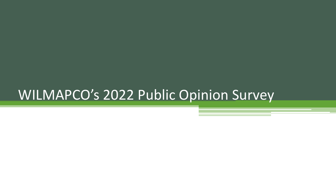# WILMAPCO's 2022 Public Opinion Survey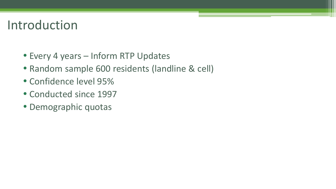# Introduction

- Every 4 years Inform RTP Updates
- Random sample 600 residents (landline & cell)
- Confidence level 95%
- Conducted since 1997
- Demographic quotas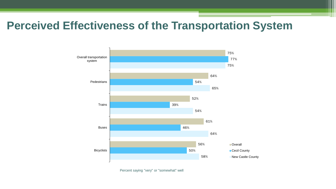## **Perceived Effectiveness of the Transportation System**



Percent saying "very" or "somewhat" well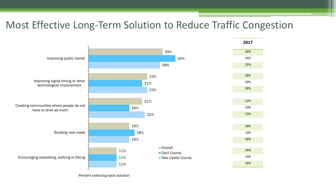### Most Effective Long-Term Solution to Reduce Traffic Congestion



Percent selecting each solution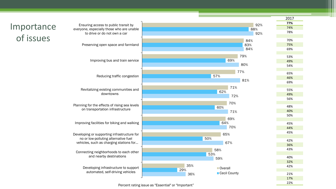|                         |                                                                                                                                               |                            | 2017       |
|-------------------------|-----------------------------------------------------------------------------------------------------------------------------------------------|----------------------------|------------|
| Importance<br>of issues | Ensuring access to public transit by                                                                                                          | 92%                        | 77%        |
|                         | everyone, especially those who are unable                                                                                                     | 88%                        | 74%        |
|                         | to drive or do not own a car                                                                                                                  | 92%                        | 78%        |
|                         | Preserving open space and farmland                                                                                                            | 84%                        | 70%        |
|                         |                                                                                                                                               | 83%                        | 75%        |
|                         |                                                                                                                                               | 84%                        | 69%        |
|                         | Improving bus and train service                                                                                                               | 79%                        | 53%        |
|                         |                                                                                                                                               | 69%                        | 49%        |
|                         |                                                                                                                                               | 80%                        | 54%        |
|                         |                                                                                                                                               |                            |            |
|                         | Reducing traffic congestion                                                                                                                   | 77%<br>57%                 | 65%        |
|                         |                                                                                                                                               | 81%                        | 46%        |
|                         |                                                                                                                                               |                            | 69%        |
|                         | Revitalizing existing communities and<br>downtowns                                                                                            | 71%                        |            |
|                         |                                                                                                                                               | 62%                        | 55%<br>49% |
|                         |                                                                                                                                               | 72%                        | 56%        |
|                         | Planning for the effects of rising sea levels<br>on transportation infrastructure                                                             | 70%                        |            |
|                         |                                                                                                                                               | 60%                        | 48%        |
|                         |                                                                                                                                               | 71%                        | 40%        |
|                         |                                                                                                                                               |                            | 50%        |
|                         | Improving facilities for biking and walking                                                                                                   | 69%                        |            |
|                         |                                                                                                                                               | 64%<br>70%                 | 45%        |
|                         |                                                                                                                                               |                            | 44%        |
|                         | Developing or supporting infrastructure for<br>no or low-polluting alternative fuel<br>vehicles, such as charging stations for                | 65%                        | 45%        |
|                         |                                                                                                                                               | 50%                        | 42%        |
|                         |                                                                                                                                               | 67%                        | 36%        |
|                         | Connecting neighborhoods to each other<br>and nearby destinations<br>Developing infrastructure to support<br>automated, self-driving vehicles | 58%                        | 43%        |
|                         |                                                                                                                                               | 53%                        |            |
|                         |                                                                                                                                               | 59%                        | 40%        |
|                         |                                                                                                                                               |                            | 32%        |
|                         |                                                                                                                                               | 35%<br>Overall             | 42%        |
|                         |                                                                                                                                               | 29%<br>Cecil County<br>36% | 21%        |
|                         |                                                                                                                                               |                            | 17%        |
|                         |                                                                                                                                               |                            | 220/       |

Percent rating issue as "Essential" or "Important"

22%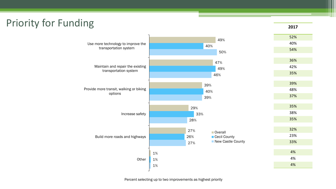## Priority for Funding

**2017**

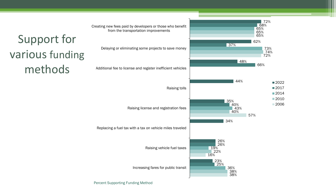

#### Percent Supporting Funding Method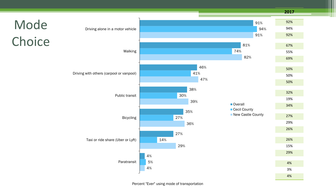Mode **Choice** 4% 29% 36% 39% 47% 82% 91% 5% 14% 27% 30% 41% 74% 94% 4% 27% 35% 38% 46% 81% 91% Paratransit Taxi or ride share (Uber or Lyft) Bicycling Public transit Driving with others (carpool or vanpool) Walking Driving alone in a motor vehicle **Overall** ■ Cecil County New Castle County **2017** 92% 94% 92% 67% 55% 69% 50% 50% 50% 32% 19% 34% 27% 29% 26% 26% 15% 29% 4% 3%

4%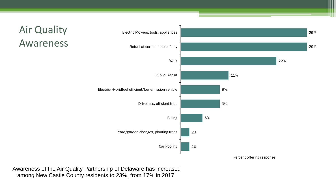



Awareness of the Air Quality Partnership of Delaware has increased among New Castle County residents to 23%, from 17% in 2017.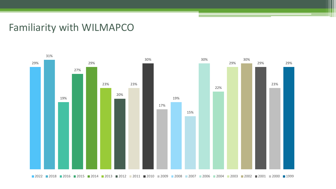#### Familiarity with WILMAPCO

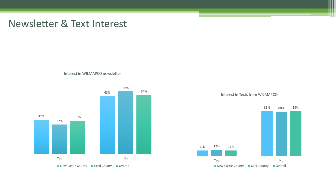#### Newsletter & Text Interest

Interest in WILMAPCO newsletter



89% 88% 89%



Interest in Texts from WILMAPCO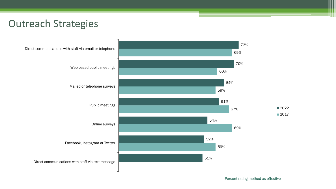#### Outreach Strategies

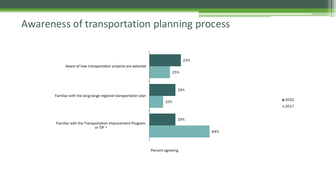#### Awareness of transportation planning process



Percent agreeing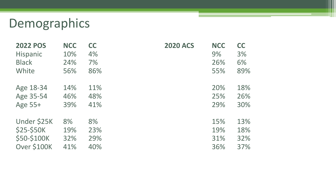# Demographics

| <b>2022 POS</b> | <b>NCC</b> | <b>CC</b> | <b>2020 ACS</b> | <b>NCC</b> | <b>CC</b> |
|-----------------|------------|-----------|-----------------|------------|-----------|
| Hispanic        | 10%        | 4%        |                 | 9%         | 3%        |
| <b>Black</b>    | 24%        | 7%        |                 | 26%        | 6%        |
| White           | 56%        | 86%       |                 | 55%        | 89%       |
| Age 18-34       | 14%        | 11%       |                 | 20%        | 18%       |
| Age 35-54       | 46%        | 48%       |                 | 25%        | 26%       |
| Age 55+         | 39%        | 41%       |                 | 29%        | 30%       |
| Under \$25K     | 8%         | 8%        |                 | 15%        | 13%       |
| \$25-\$50K      | 19%        | 23%       |                 | 19%        | 18%       |
| \$50-\$100K     | 32%        | 29%       |                 | 31%        | 32%       |
| Over \$100K     | 41%        | 40%       |                 | 36%        | 37%       |